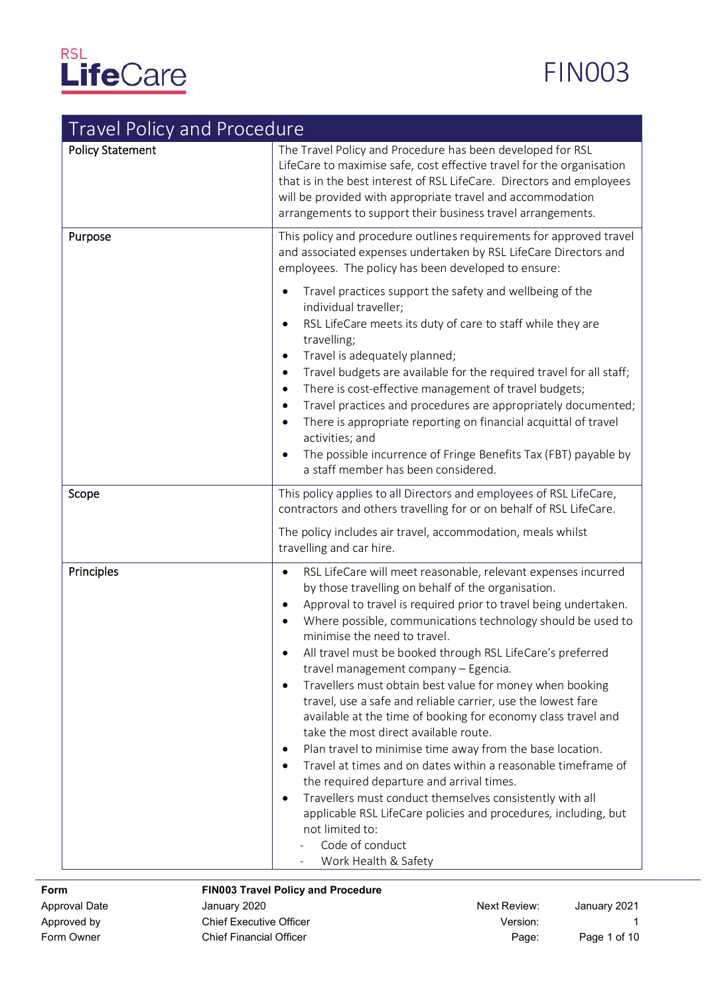# RSL<br>LifeCare

# FIN003

# Travel Policyand Procedure

| indictionly and inoced<br><b>Policy Statement</b><br>Purpose | The Travel Policy and Procedure has been developed for RSL<br>LifeCare to maximise safe, cost effective travel for the organisation<br>that is in the best interest of RSL LifeCare. Directors and employees<br>will be provided with appropriate travel and accommodation<br>arrangements to support their business travel arrangements.<br>This policy and procedure outlines requirements for approved travel                                                                                                                                                                                                                                                                                                                                                                                                                                                                                                                                                                                                                     |
|--------------------------------------------------------------|--------------------------------------------------------------------------------------------------------------------------------------------------------------------------------------------------------------------------------------------------------------------------------------------------------------------------------------------------------------------------------------------------------------------------------------------------------------------------------------------------------------------------------------------------------------------------------------------------------------------------------------------------------------------------------------------------------------------------------------------------------------------------------------------------------------------------------------------------------------------------------------------------------------------------------------------------------------------------------------------------------------------------------------|
|                                                              | and associated expenses undertaken by RSL LifeCare Directors and<br>employees. The policy has been developed to ensure:                                                                                                                                                                                                                                                                                                                                                                                                                                                                                                                                                                                                                                                                                                                                                                                                                                                                                                              |
|                                                              | Travel practices support the safety and wellbeing of the<br>individual traveller;<br>RSL LifeCare meets its duty of care to staff while they are<br>travelling;<br>Travel is adequately planned;<br>Travel budgets are available for the required travel for all staff;<br>$\bullet$<br>There is cost-effective management of travel budgets;<br>Travel practices and procedures are appropriately documented;<br>There is appropriate reporting on financial acquittal of travel<br>$\bullet$<br>activities; and<br>The possible incurrence of Fringe Benefits Tax (FBT) payable by<br>a staff member has been considered.                                                                                                                                                                                                                                                                                                                                                                                                          |
| Scope                                                        | This policy applies to all Directors and employees of RSL LifeCare,<br>contractors and others travelling for or on behalf of RSL LifeCare.                                                                                                                                                                                                                                                                                                                                                                                                                                                                                                                                                                                                                                                                                                                                                                                                                                                                                           |
|                                                              | The policy includes air travel, accommodation, meals whilst<br>travelling and car hire.                                                                                                                                                                                                                                                                                                                                                                                                                                                                                                                                                                                                                                                                                                                                                                                                                                                                                                                                              |
| Principles                                                   | RSL LifeCare will meet reasonable, relevant expenses incurred<br>$\bullet$<br>by those travelling on behalf of the organisation.<br>Approval to travel is required prior to travel being undertaken.<br>Where possible, communications technology should be used to<br>minimise the need to travel.<br>All travel must be booked through RSL LifeCare's preferred<br>travel management company - Egencia.<br>Travellers must obtain best value for money when booking<br>travel, use a safe and reliable carrier, use the lowest fare<br>available at the time of booking for economy class travel and<br>take the most direct available route.<br>Plan travel to minimise time away from the base location.<br>Travel at times and on dates within a reasonable timeframe of<br>the required departure and arrival times.<br>Travellers must conduct themselves consistently with all<br>$\bullet$<br>applicable RSL LifeCare policies and procedures, including, but<br>not limited to:<br>Code of conduct<br>Work Health & Safety |

#### FIN003 Travel Policy and Procedure

| Approval Date | January 2020                   | Next Review: | January 2021 |
|---------------|--------------------------------|--------------|--------------|
| Approved by   | <b>Chief Executive Officer</b> | Version:     |              |
| Form Owner    | <b>Chief Financial Officer</b> | Page:        | Page 1 of 10 |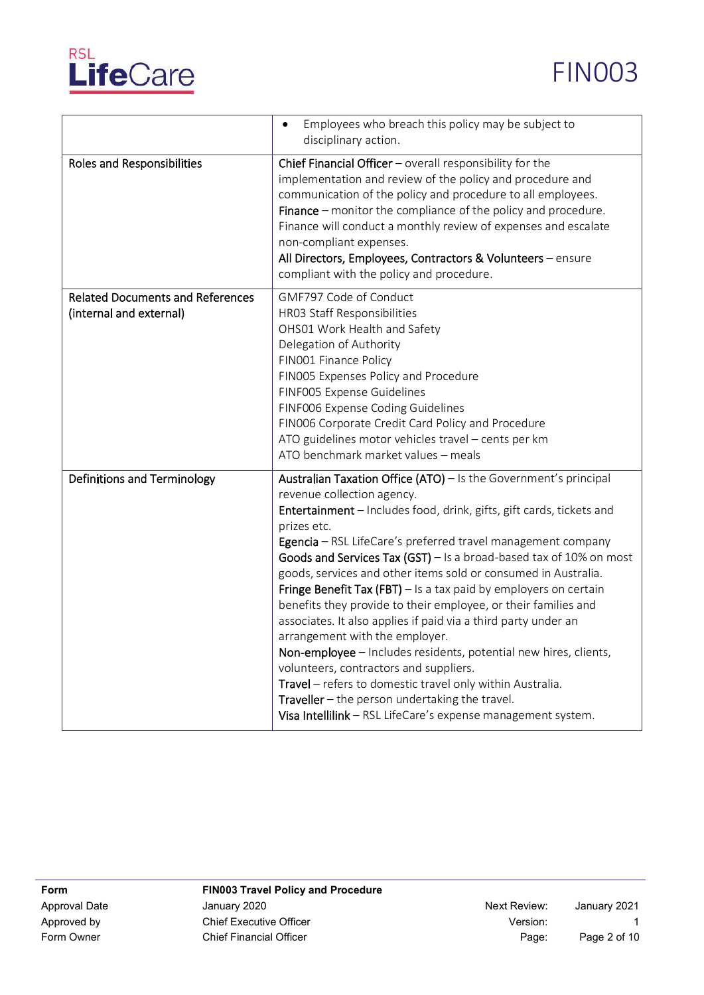



|                                                                    | Employees who breach this policy may be subject to<br>$\bullet$<br>disciplinary action.                                                                                                                                                                                                                                                                                                                                                                                                                                                                                                                                                                                                                                                                                                                                                                                                                                                           |
|--------------------------------------------------------------------|---------------------------------------------------------------------------------------------------------------------------------------------------------------------------------------------------------------------------------------------------------------------------------------------------------------------------------------------------------------------------------------------------------------------------------------------------------------------------------------------------------------------------------------------------------------------------------------------------------------------------------------------------------------------------------------------------------------------------------------------------------------------------------------------------------------------------------------------------------------------------------------------------------------------------------------------------|
| Roles and Responsibilities                                         | Chief Financial Officer - overall responsibility for the<br>implementation and review of the policy and procedure and<br>communication of the policy and procedure to all employees.<br>Finance – monitor the compliance of the policy and procedure.<br>Finance will conduct a monthly review of expenses and escalate<br>non-compliant expenses.<br>All Directors, Employees, Contractors & Volunteers - ensure<br>compliant with the policy and procedure.                                                                                                                                                                                                                                                                                                                                                                                                                                                                                     |
| <b>Related Documents and References</b><br>(internal and external) | GMF797 Code of Conduct<br>HR03 Staff Responsibilities<br>OHS01 Work Health and Safety<br>Delegation of Authority<br>FIN001 Finance Policy<br>FIN005 Expenses Policy and Procedure<br>FINF005 Expense Guidelines<br>FINF006 Expense Coding Guidelines<br>FIN006 Corporate Credit Card Policy and Procedure<br>ATO guidelines motor vehicles travel - cents per km<br>ATO benchmark market values - meals                                                                                                                                                                                                                                                                                                                                                                                                                                                                                                                                           |
| Definitions and Terminology                                        | Australian Taxation Office (ATO) - Is the Government's principal<br>revenue collection agency.<br>Entertainment - Includes food, drink, gifts, gift cards, tickets and<br>prizes etc.<br>Egencia - RSL LifeCare's preferred travel management company<br>Goods and Services Tax (GST) $-$ Is a broad-based tax of 10% on most<br>goods, services and other items sold or consumed in Australia.<br>Fringe Benefit Tax (FBT) $-$ Is a tax paid by employers on certain<br>benefits they provide to their employee, or their families and<br>associates. It also applies if paid via a third party under an<br>arrangement with the employer.<br>Non-employee - Includes residents, potential new hires, clients,<br>volunteers, contractors and suppliers.<br>Travel - refers to domestic travel only within Australia.<br><b>Traveller</b> $-$ the person undertaking the travel.<br>Visa Intellilink - RSL LifeCare's expense management system. |

FIN003 Travel Policy and Procedure Approval Date **Auch Contract Approval Date** January 2020 Approval Date January 2021 Approved by Chief Executive Officer Chief Executive Officer Chief Chief Executive Officer Chief Chief Chief Chief Chief Chief Chief Chief Chief Chief Chief Chief Chief Chief Chief Chief Chief Chief Chief Chief Chief Chief Form Owner **Chief Financial Officer Chief Financial Officer Page:** Page: Page 2 of 10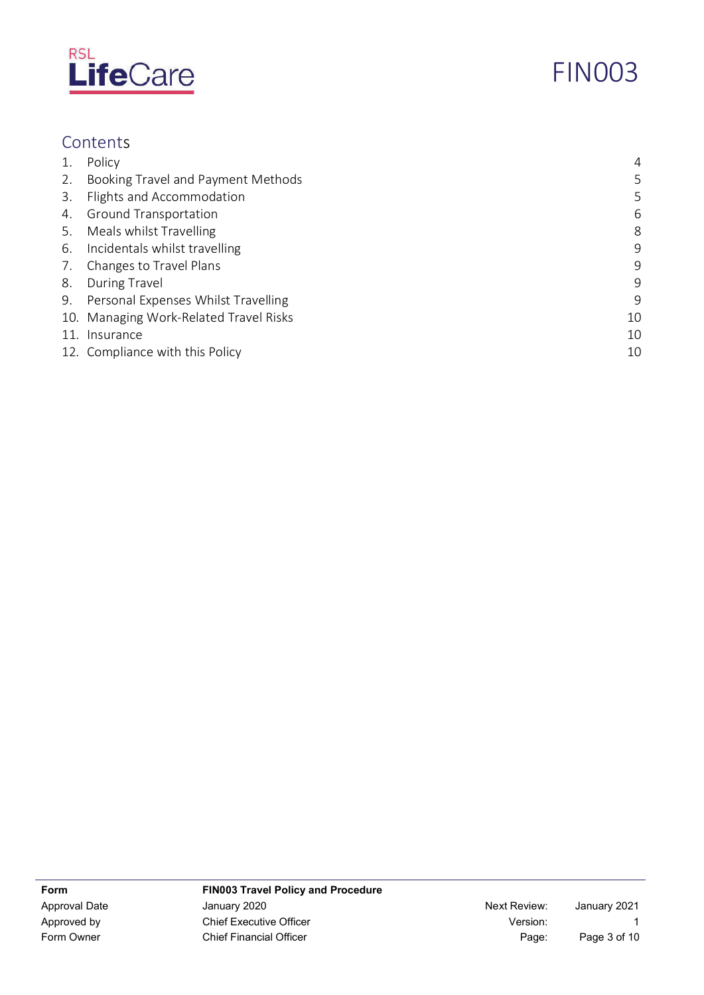

# FIN003

# Contents

| 1. | Policy                                 | 4  |
|----|----------------------------------------|----|
| 2. | Booking Travel and Payment Methods     | 5  |
| 3. | Flights and Accommodation              | 5  |
| 4. | <b>Ground Transportation</b>           | 6  |
| 5. | Meals whilst Travelling                | 8  |
|    | 6. Incidentals whilst travelling       | 9  |
| 7. | Changes to Travel Plans                | 9  |
| 8. | <b>During Travel</b>                   | 9  |
|    | 9. Personal Expenses Whilst Travelling | 9  |
|    | 10. Managing Work-Related Travel Risks | 10 |
|    | 11. Insurance                          | 10 |
|    | 12. Compliance with this Policy        | 10 |

FIN003 Travel Policy and Procedure Approval Date **Accord Manuary 2020** Approval Date January 2021 Approved by Chief Executive Officer Chief Executive Officer Chief Chief Executive Officer Chief Chief Chief Chief Chief Chief Chief Chief Chief Chief Chief Chief Chief Chief Chief Chief Chief Chief Chief Chief Chief Chief Form Owner **Chief Financial Officer Chief Financial Officer Page:** Page: Page 3 of 10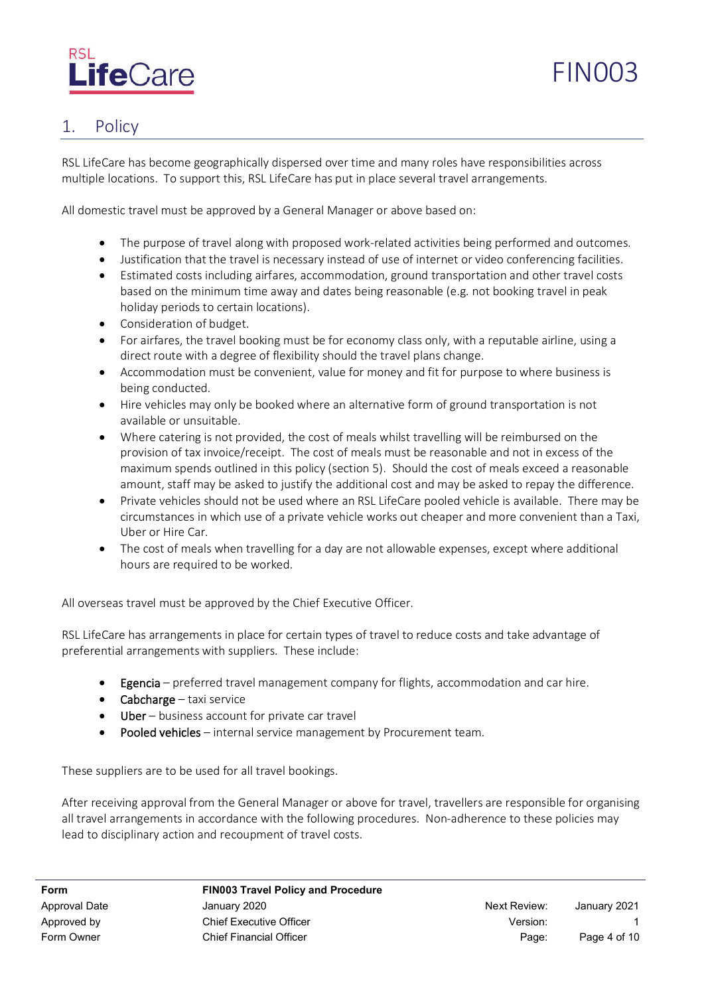

# FIN003

## 1. Policy

RSL LifeCare has become geographically dispersed over time and many roles have responsibilities across multiple locations. To support this, RSL LifeCare has put in place several travel arrangements.

All domestic travel must be approved by a General Manager or above based on:

- The purpose of travel along with proposed work-related activities being performed and outcomes.
- Justification that the travel is necessary instead of use of internet or video conferencing facilities.
- Estimated costs including airfares, accommodation, ground transportation and other travel costs based on the minimum time away and dates being reasonable (e.g. not booking travel in peak holiday periods to certain locations).
- Consideration of budget.
- For airfares, the travel booking must be for economy class only, with a reputable airline, using a direct route with a degree of flexibility should the travel plans change.
- Accommodation must be convenient, value for money and fit for purpose to where business is being conducted.
- Hire vehicles may only be booked where an alternative form of ground transportation is not available or unsuitable.
- Where catering is not provided, the cost of meals whilst travelling will be reimbursed on the provision of tax invoice/receipt. The cost of meals must be reasonable and not in excess of the maximum spends outlined in this policy (section 5). Should the cost of meals exceed a reasonable amount, staff may be asked to justify the additional cost and may be asked to repay the difference.
- Private vehicles should not be used where an RSL LifeCare pooled vehicle is available. There may be circumstances in which use of a private vehicle works out cheaper and more convenient than a Taxi, Uber or Hire Car.
- The cost of meals when travelling for a day are not allowable expenses, except where additional hours are required to be worked.

All overseas travel must be approved by the Chief Executive Officer.

RSL LifeCare has arrangements in place for certain types of travel to reduce costs and take advantage of preferential arrangements with suppliers. These include:

- Egencia preferred travel management company for flights, accommodation and car hire.
- **Cabcharge**  $-$  taxi service
- Uber business account for private car travel
- Pooled vehicles internal service management by Procurement team.

These suppliers are to be used for all travel bookings.

After receiving approval from the General Manager or above for travel, travellers are responsible for organising all travel arrangements in accordance with the following procedures. Non-adherence to these policies may lead to disciplinary action and recoupment of travel costs.

FIN003 Travel Policy and Procedure Approval Date **Authority** January 2020 **Next Review:** January 2021 Approved by Chief Executive Officer Approved by Version: Form Owner **Chief Financial Officer Page:** Page: Page 4 of 10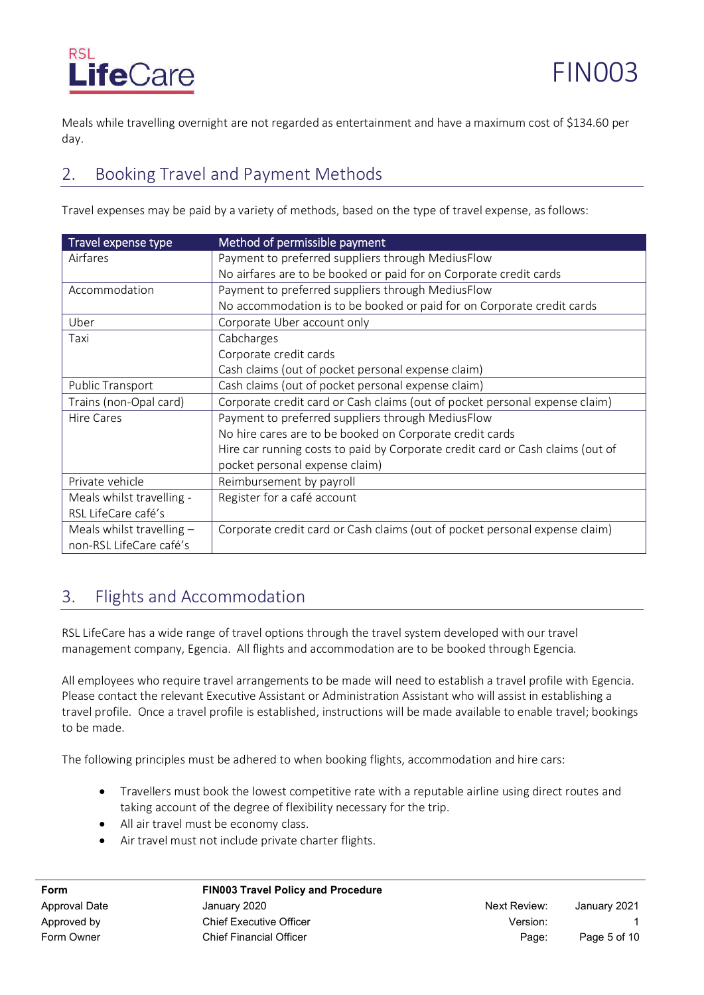# LifeCare

Meals while travelling overnight are not regarded as entertainment and have a maximum cost of \$134.60 per day.

# 2. Booking Travel and Payment Methods

Travel expenses may be paid by a variety of methods, based on the type of travel expense, as follows:

| Travel expense type         | Method of permissible payment                                                  |
|-----------------------------|--------------------------------------------------------------------------------|
| Airfares                    | Payment to preferred suppliers through MediusFlow                              |
|                             | No airfares are to be booked or paid for on Corporate credit cards             |
| Accommodation               | Payment to preferred suppliers through MediusFlow                              |
|                             | No accommodation is to be booked or paid for on Corporate credit cards         |
| Uber                        | Corporate Uber account only                                                    |
| Taxi                        | Cabcharges                                                                     |
|                             | Corporate credit cards                                                         |
|                             | Cash claims (out of pocket personal expense claim)                             |
| Public Transport            | Cash claims (out of pocket personal expense claim)                             |
| Trains (non-Opal card)      | Corporate credit card or Cash claims (out of pocket personal expense claim)    |
| Hire Cares                  | Payment to preferred suppliers through MediusFlow                              |
|                             | No hire cares are to be booked on Corporate credit cards                       |
|                             | Hire car running costs to paid by Corporate credit card or Cash claims (out of |
|                             | pocket personal expense claim)                                                 |
| Private vehicle             | Reimbursement by payroll                                                       |
| Meals whilst travelling -   | Register for a café account                                                    |
| RSL LifeCare café's         |                                                                                |
| Meals whilst travelling $-$ | Corporate credit card or Cash claims (out of pocket personal expense claim)    |
| non-RSL LifeCare café's     |                                                                                |

# 3. Flights and Accommodation

RSL LifeCare has a wide range of travel options through the travel system developed with our travel management company, Egencia. All flights and accommodation are to be booked through Egencia.

All employees who require travel arrangements to be made will need to establish a travel profile with Egencia. Please contact the relevant Executive Assistant or Administration Assistant who will assist in establishing a travel profile. Once a travel profile is established, instructions will be made available to enable travel; bookings to be made.

The following principles must be adhered to when booking flights, accommodation and hire cars:

- Travellers must book the lowest competitive rate with a reputable airline using direct routes and taking account of the degree of flexibility necessary for the trip.
- All air travel must be economy class.
- Air travel must not include private charter flights.

FIN003 Travel Policy and Procedure ApprovalDate January2020 Next Review: January2021

Approved by Chief Executive Officer Approved by Version: Form Owner Chief Financial Officer Chief Financial Officer Chief Chief Page: Page 5 of 10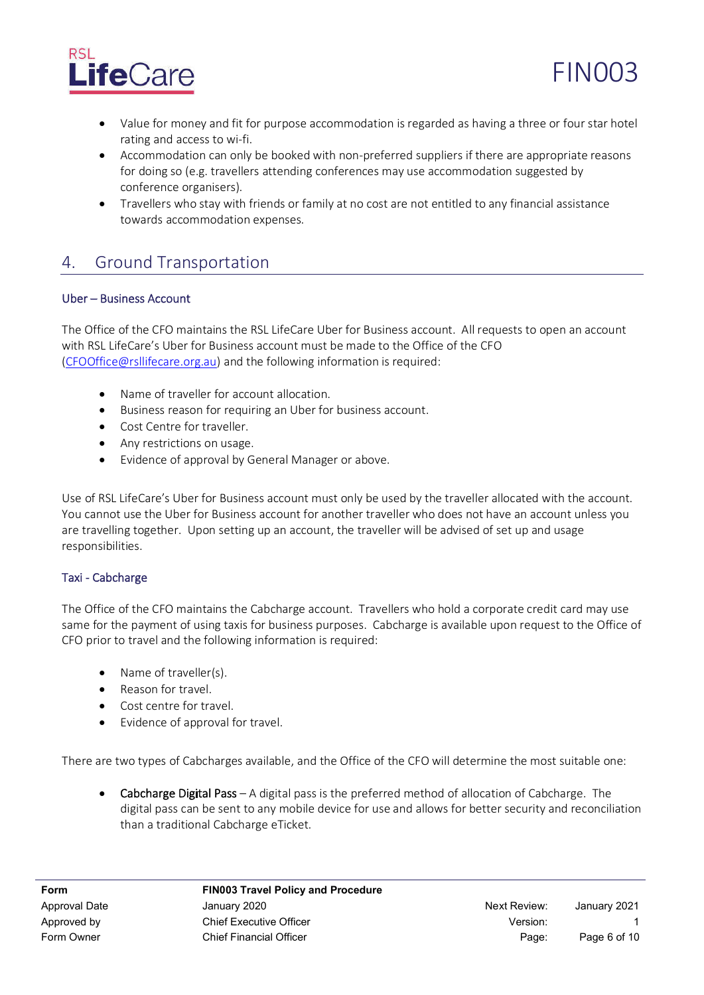

- Value for money and fit for purpose accommodation is regarded as having a three or four star hotel rating and access to wi-fi.
- Accommodation can only be booked with non-preferred suppliers if there are appropriate reasons for doing so (e.g. travellers attending conferences may use accommodation suggested by conference organisers).
- Travellers who stay with friends or family at no cost are not entitled to any financial assistance towards accommodation expenses.

# 4. Ground Transportation

#### Uber - Business Account

The Office of the CFO maintains the RSL LifeCare Uber for Business account. All requests to open an account with RSL LifeCare's Uber for Business account must be made to the Office of the CFO (CFOOffice@rsllifecare.org.au) and the following information is required:

- Name of traveller for account allocation.
- Business reason for requiring an Uber for business account.
- Cost Centre for traveller.
- Any restrictions on usage.
- Evidence of approval by General Manager or above.

Use of RSL LifeCare's Uber for Business account must only be used by the traveller allocated with the account. You cannot use the Uber for Business account for another traveller who does not have an account unless you are travelling together. Upon setting up an account, the traveller will be advised of set up and usage responsibilities.

#### Taxi - Cabcharge

The Office of the CFO maintains the Cabcharge account. Travellers who hold a corporate credit card may use same for the payment of using taxis for business purposes. Cabcharge is available upon request to the Office of CFO prior to travel and the following information is required:

- Name of traveller(s).
- Reason for travel.
- Cost centre for travel.
- Evidence of approval for travel.

There are two types of Cabcharges available, and the Office of the CFO will determine the most suitable one:

**Cabcharge Digital Pass**  $- A$  digital pass is the preferred method of allocation of Cabcharge. The digital pass can be sent to any mobile device for use and allows for better security and reconciliation than a traditional Cabcharge eTicket.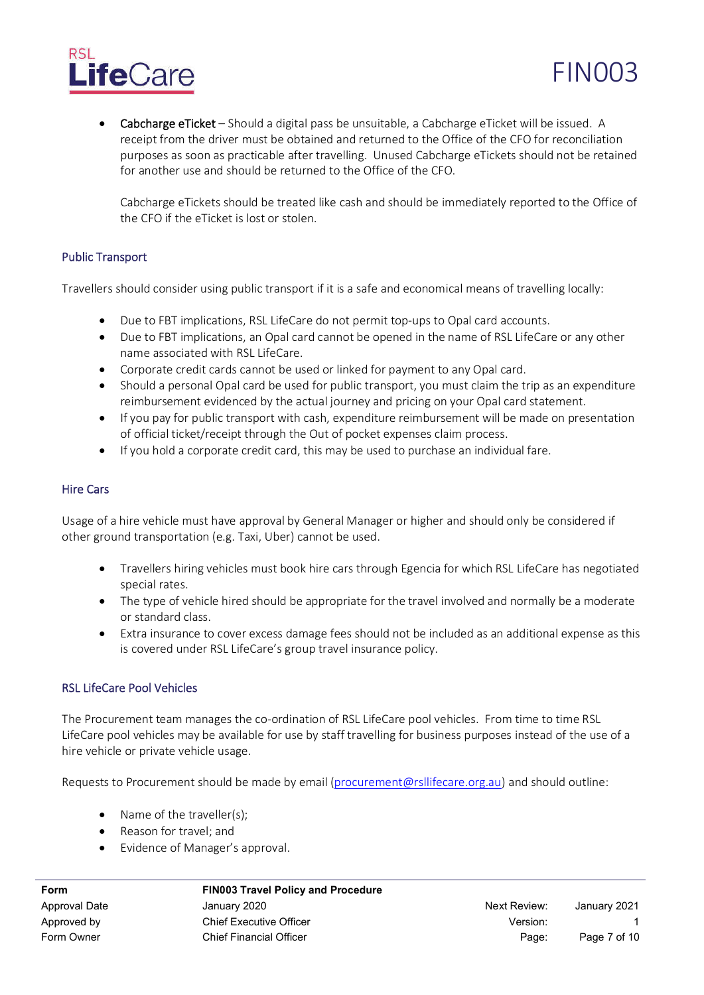# **ife**Care

**Cabcharge eTicket** – Should a digital pass be unsuitable, a Cabcharge eTicket will be issued. A receipt from the driver must be obtained and returned to the Office of the CFO for reconciliation purposes as soon as practicable after travelling. Unused Cabcharge eTickets should not be retained for another use and should be returned to the Office of the CFO.

Cabcharge eTickets should be treated like cash and should be immediately reported to the Office of the CFO if the eTicket is lost or stolen.

#### **Public Transport**

Travellers should consider using public transport if it is a safe and economical means of travelling locally:

- Due to FBT implications, RSL LifeCare do not permit top-ups to Opal card accounts.
- Due to FBT implications, an Opal card cannot be opened in the name of RSL LifeCare or any other name associated with RSL LifeCare.
- Corporate credit cards cannot be used or linked for payment to any Opal card.
- Should a personal Opal card be used for public transport, you must claim the trip as an expenditure reimbursement evidenced by the actual journey and pricing on your Opal card statement.
- If you pay for public transport with cash, expenditure reimbursement will be made on presentation of official ticket/receipt through the Out of pocket expenses claim process.
- If you hold a corporate credit card, this may be used to purchase an individual fare.

#### **Hire Cars**

Usage of a hire vehicle must have approval by General Manager or higher and should only be considered if other ground transportation (e.g. Taxi, Uber) cannot be used.

- Travellers hiring vehicles must book hire cars through Egencia for which RSL LifeCare has negotiated special rates.
- The type of vehicle hired should be appropriate for the travel involved and normally be a moderate or standard class.
- Extra insurance to cover excess damage fees should not be included as an additional expense as this is covered under RSL LifeCare's group travel insurance policy.

#### **RSL LifeCare Pool Vehicles**

The Procurement team manages the co-ordination of RSL LifeCare pool vehicles. From time to time RSL LifeCare pool vehicles may be available for use by staff travelling for business purposes instead of the use of a hire vehicle or private vehicle usage.

Requests to Procurement should be made by email (procurement@rsllifecare.org.au) and should outline:

- Name of the traveller(s);
- Reason for travel; and
- Evidence of Manager's approval.

FIN003 Travel Policy and Procedure Approval Date **Authority** January 2020 **Next Review:** January 2021

Approved by Chief Executive Officer Approved by Version:

FIN003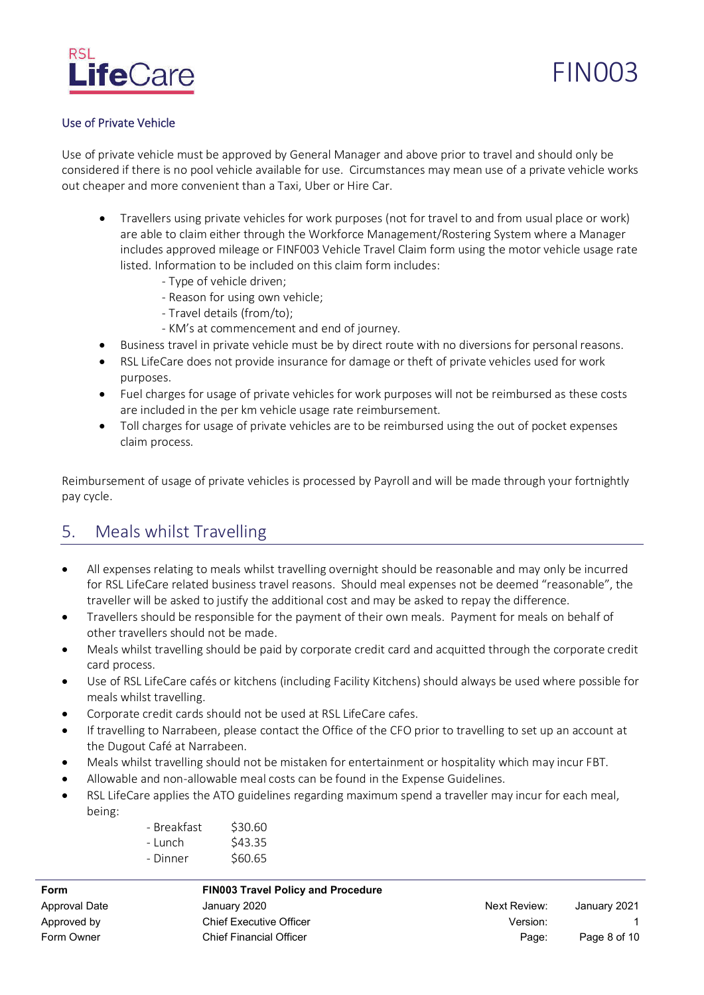

#### **Use of Private Vehicle**

Use of private vehicle must be approved by General Manager and above prior to travel and should only be considered if there is no pool vehicle available for use. Circumstances may mean use of a private vehicle works out cheaper and more convenient than a Taxi, Uber or Hire Car.

- Travellers using private vehicles for work purposes (not for travel to and from usual place or work) are able to claim either through the Workforce Management/Rostering System where a Manager includes approved mileage or FINF003 Vehicle Travel Claim form using the motor vehicle usage rate listed. Information to be included on this claim form includes:
	- Type of vehicle driven;
	- Reason for using own vehicle;
	- Travel details (from/to);
	- KM's at commencement and end of journey.
- Business travel in private vehicle must be by direct route with no diversions for personal reasons.
- RSL LifeCare does not provide insurance for damage or theft of private vehicles used for work purposes.
- Fuel charges for usage of private vehicles for work purposes will not be reimbursed as these costs are included in the per km vehicle usage rate reimbursement.
- Toll charges for usage of private vehicles are to be reimbursed using the out of pocket expenses claim process.

Reimbursement of usage of private vehicles is processed by Payroll and will be made through your fortnightly paycycle.

### 5. Meals whilst Travelling

- All expenses relating to meals whilst travelling overnight should be reasonable and may only be incurred for RSL LifeCare related business travel reasons. Should meal expenses not be deemed "reasonable", the traveller will be asked to justify the additional cost and may be asked to repay the difference.
- Travellers should be responsible for the payment of their own meals. Payment for meals on behalf of other travellers should not be made.
- Meals whilst travelling should be paid by corporate credit card and acquitted through the corporate credit card process.
- Use of RSL LifeCare cafés or kitchens (including Facility Kitchens) should always be used where possible for meals whilst travelling.
- Corporate credit cards should not be used at RSL LifeCare cafes.
- If travelling to Narrabeen, please contact the Office of the CFO prior to travelling to set up an account at the Dugout Café at Narrabeen.
- Meals whilst travelling should not be mistaken for entertainment or hospitality which may incur FBT.
- Allowable and non-allowable meal costs can be found in the Expense Guidelines.
- RSL LifeCare applies the ATO guidelines regarding maximum spend a traveller may incur for each meal, being:

| - Breakfast | \$30.60 |
|-------------|---------|
| - Lunch     | \$43.35 |
| - Dinner    | \$60.65 |

| Form                 |
|----------------------|
| <b>Approval Date</b> |
| Approved by          |
| Form Owner           |

#### FIN003 Travel Policy and Procedure

| January 2020                   | Next Review: | January 2021 |
|--------------------------------|--------------|--------------|
| <b>Chief Executive Officer</b> | Version:     |              |
| <b>Chief Financial Officer</b> | Page:        | Page 8 of 10 |
|                                |              |              |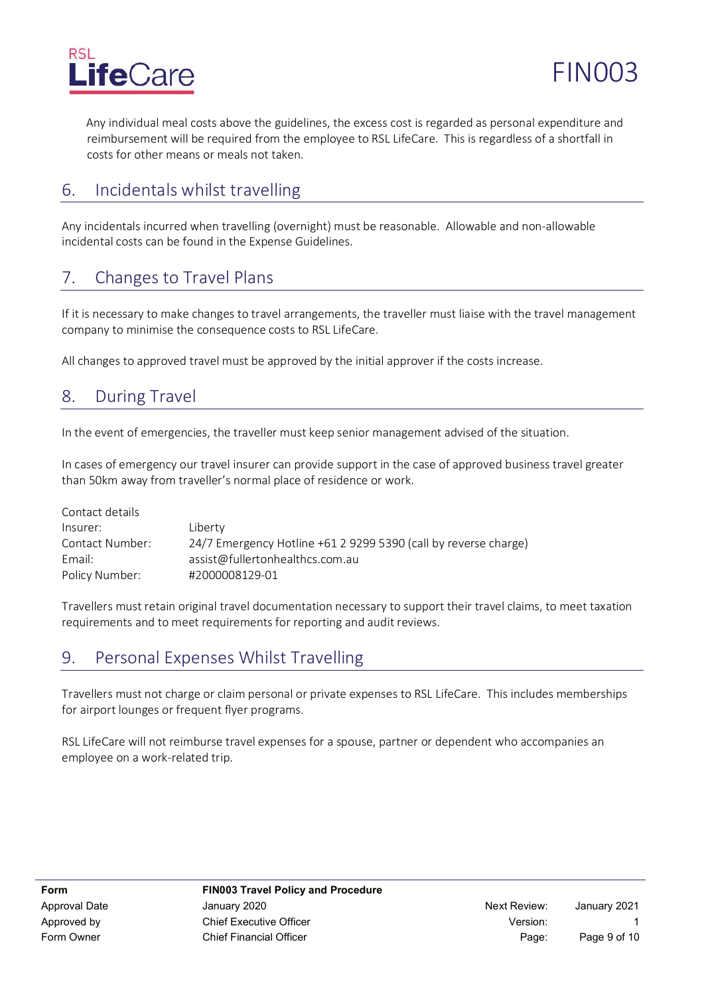

Any individual meal costs above the guidelines, the excess cost is regarded as personal expenditure and reimbursement will be required from the employee to RSL LifeCare. This is regardless of a shortfall in costs for other means or meals not taken.

## 6. Incidentals whilst travelling

Any incidentals incurred when travelling (overnight) must be reasonable. Allowable and non-allowable incidental costs can be found in the Expense Guidelines.

# 7. Changes to Travel Plans

If it is necessary to make changes to travel arrangements, the traveller must liaise with the travel management company to minimise the consequence costs to RSL LifeCare.

All changes to approved travel must be approved by the initial approver if the costs increase.

## 8. During Travel

In the event of emergencies, the traveller must keep senior management advised of the situation.

In cases of emergency our travel insurer can provide support in the case of approved business travel greater than 50km away from traveller's normal place of residence or work.

| Liberty                                                         |
|-----------------------------------------------------------------|
| 24/7 Emergency Hotline +61 2 9299 5390 (call by reverse charge) |
| assist@fullertonhealthcs.com.au                                 |
| #2000008129-01                                                  |
|                                                                 |

Travellers must retain original travel documentation necessary to support their travel claims, to meet taxation requirements and to meet requirements for reporting and audit reviews.

# 9. Personal Expenses Whilst Travelling

Travellers must not charge or claim personal or private expenses to RSL LifeCare. This includes memberships for airport lounges or frequent flyer programs.

RSL LifeCare will not reimburse travel expenses for a spouse, partner or dependent who accompanies an employee on a work-related trip.

FIN003 Travel Policy and Procedure ApprovalDate January2020 Next Review: January2021 Approved by Chief Executive Officer Approved by Version: Form Owner Chief Financial Officer Chief Financial Officer Chief Allen Chief Page: Page 9 of 10